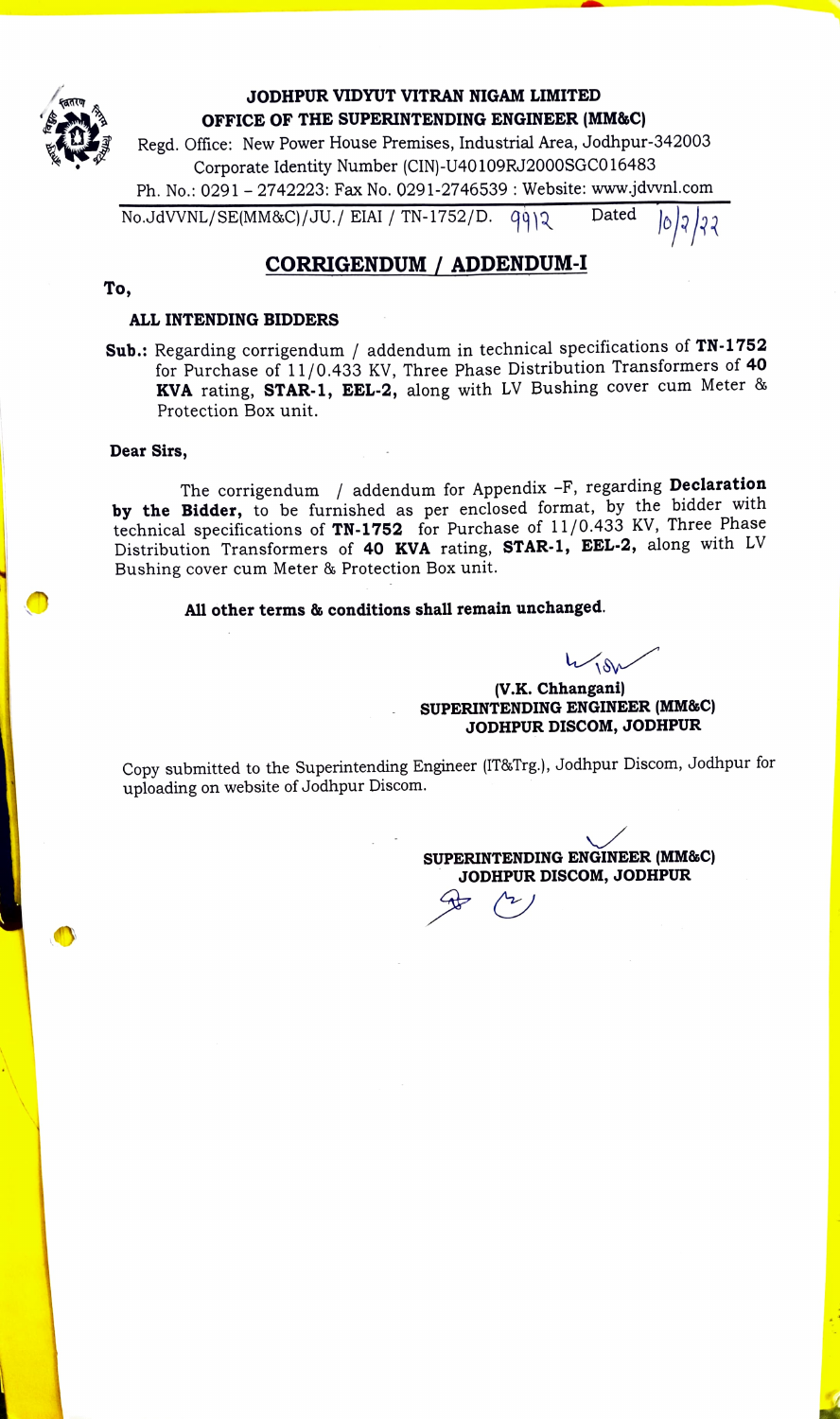

### JODHPUR VIDYUT VITRAN NIGAM LIMITED OFFICE OF THE SUPERINTENDING ENGINEER (MM&C)

Regd. Office: New Power House Premises, Industrial Area, Jodhpur-342003 Corporate Identity Number (CIN)-U40109RJ2000SGC016483 Ph. No.: 0291 - 2742223: Fax No. 0291-2746539 : Website: www.jdvvnl.com  $No.JdVNNL/SE(MM&C)/JU./EIAI/TN-1752/D.$   $q\dot{q}q\dot{q}$  Dated

# CORRIGENDUM / ADDENDUM-I

#### To,

#### ALL INTENDING BIDDERS

Sub.: Regarding corrigendum / addendum in technical specifications of TN-1752 for Purchase of 11/0.433 KV, Three Phase Distribution Transformers of 40 KVA rating, STAR-1, EEL-2, along with LV Bushing cover cum Meter & Protection Box unit.

#### Dear Sirs,

The corrigendum / addendum for Appendix -F, regarding Declaration by the Bidder, to be furnished as per enclosed format, by the bidder with technical specifications of TN-1752 for Purchase of 11/0.433 KV, Three Phase Distribution Transformers of 40 KVA rating, STAR-1, EEL-2, along with LV Bushing cover cum Meter & Protection Box unit.

### All other terms & conditions shall remain unchanged.

 $4780$ 

(v.K. Chhangani) SUPERINTENDING ENGINEER (MM&C) JODHPUR DISCOM, JODHPUR

Copy submitted to the Superintending Engineer (IT8&Trg.), Jodhpur Discom, Jodhpur for uploading on website of Jodhpur Discom.

sUPERINTENDING ENGINEER (MMaC) JODHPUR DISCOM, JODHPUR